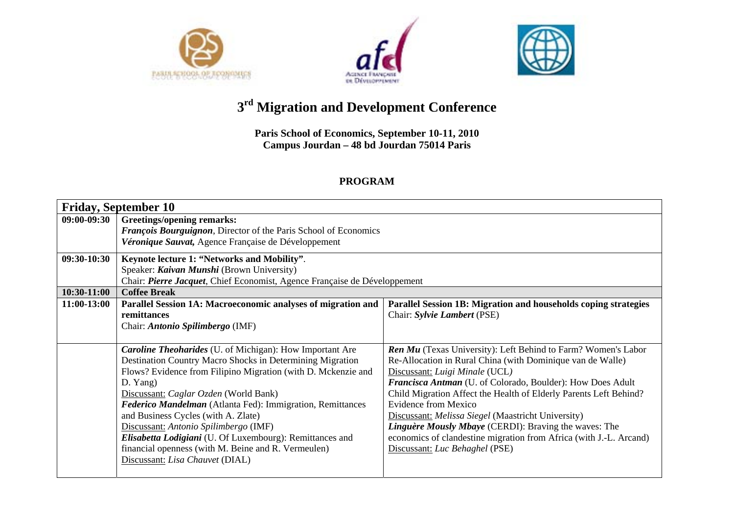





## **<sup>3</sup>rd Migration and Development Conference**

**Paris School of Economics, September 10-11, 2010 Campus Jourdan – 48 bd Jourdan 75014 Paris** 

## **PROGRAM**

| <b>Friday, September 10</b> |                                                                                                                                                                                                                                                                                                                                                                                                                                                                                                                                                        |                                                                                                                                                                                                                                                                                                                                                                                                                                                                                                                                                        |  |  |
|-----------------------------|--------------------------------------------------------------------------------------------------------------------------------------------------------------------------------------------------------------------------------------------------------------------------------------------------------------------------------------------------------------------------------------------------------------------------------------------------------------------------------------------------------------------------------------------------------|--------------------------------------------------------------------------------------------------------------------------------------------------------------------------------------------------------------------------------------------------------------------------------------------------------------------------------------------------------------------------------------------------------------------------------------------------------------------------------------------------------------------------------------------------------|--|--|
| 09:00-09:30                 | <b>Greetings/opening remarks:</b><br><b>François Bourguignon</b> , Director of the Paris School of Economics<br>Véronique Sauvat, Agence Française de Développement                                                                                                                                                                                                                                                                                                                                                                                    |                                                                                                                                                                                                                                                                                                                                                                                                                                                                                                                                                        |  |  |
| 09:30-10:30                 | Keynote lecture 1: "Networks and Mobility".<br>Speaker: Kaivan Munshi (Brown University)<br>Chair: Pierre Jacquet, Chief Economist, Agence Française de Développement                                                                                                                                                                                                                                                                                                                                                                                  |                                                                                                                                                                                                                                                                                                                                                                                                                                                                                                                                                        |  |  |
| $10:30-11:00$               | <b>Coffee Break</b>                                                                                                                                                                                                                                                                                                                                                                                                                                                                                                                                    |                                                                                                                                                                                                                                                                                                                                                                                                                                                                                                                                                        |  |  |
| 11:00-13:00                 | Parallel Session 1A: Macroeconomic analyses of migration and<br>remittances<br>Chair: Antonio Spilimbergo (IMF)                                                                                                                                                                                                                                                                                                                                                                                                                                        | Parallel Session 1B: Migration and households coping strategies<br>Chair: Sylvie Lambert (PSE)                                                                                                                                                                                                                                                                                                                                                                                                                                                         |  |  |
|                             | <b>Caroline Theoharides</b> (U. of Michigan): How Important Are<br>Destination Country Macro Shocks in Determining Migration<br>Flows? Evidence from Filipino Migration (with D. Mckenzie and<br>D. Yang)<br>Discussant: Caglar Ozden (World Bank)<br>Federico Mandelman (Atlanta Fed): Immigration, Remittances<br>and Business Cycles (with A. Zlate)<br>Discussant: Antonio Spilimbergo (IMF)<br>Elisabetta Lodigiani (U. Of Luxembourg): Remittances and<br>financial openness (with M. Beine and R. Vermeulen)<br>Discussant: Lisa Chauvet (DIAL) | <b>Ren Mu</b> (Texas University): Left Behind to Farm? Women's Labor<br>Re-Allocation in Rural China (with Dominique van de Walle)<br>Discussant: Luigi Minale (UCL)<br>Francisca Antman (U. of Colorado, Boulder): How Does Adult<br>Child Migration Affect the Health of Elderly Parents Left Behind?<br>Evidence from Mexico<br>Discussant: Melissa Siegel (Maastricht University)<br>Linguère Mously Mbaye (CERDI): Braving the waves: The<br>economics of clandestine migration from Africa (with J.-L. Arcand)<br>Discussant: Luc Behaghel (PSE) |  |  |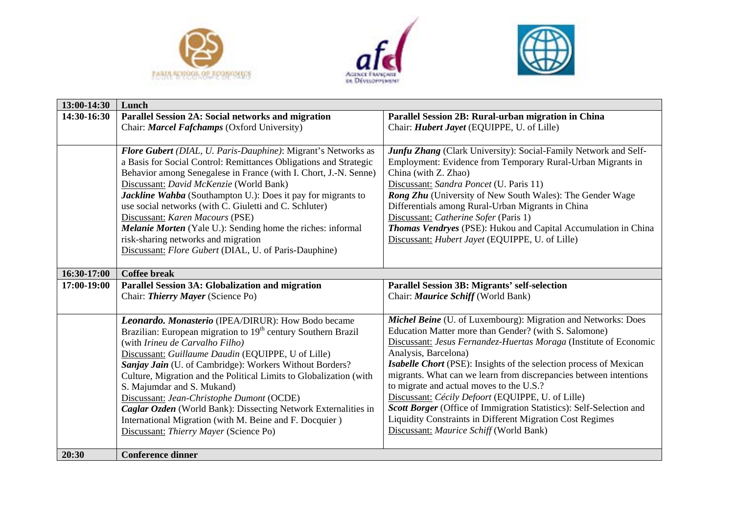





| 13:00-14:30 | Lunch                                                                     |                                                                     |  |
|-------------|---------------------------------------------------------------------------|---------------------------------------------------------------------|--|
| 14:30-16:30 | Parallel Session 2A: Social networks and migration                        | Parallel Session 2B: Rural-urban migration in China                 |  |
|             | Chair: Marcel Fafchamps (Oxford University)                               | Chair: <i>Hubert Jayet</i> (EQUIPPE, U. of Lille)                   |  |
|             |                                                                           |                                                                     |  |
|             | Flore Gubert (DIAL, U. Paris-Dauphine): Migrant's Networks as             | Junfu Zhang (Clark University): Social-Family Network and Self-     |  |
|             | a Basis for Social Control: Remittances Obligations and Strategic         | Employment: Evidence from Temporary Rural-Urban Migrants in         |  |
|             | Behavior among Senegalese in France (with I. Chort, J.-N. Senne)          | China (with Z. Zhao)                                                |  |
|             | Discussant: David McKenzie (World Bank)                                   | Discussant: Sandra Poncet (U. Paris 11)                             |  |
|             | Jackline Wahba (Southampton U.): Does it pay for migrants to              | Rong Zhu (University of New South Wales): The Gender Wage           |  |
|             | use social networks (with C. Giuletti and C. Schluter)                    | Differentials among Rural-Urban Migrants in China                   |  |
|             | Discussant: Karen Macours (PSE)                                           | Discussant: Catherine Sofer (Paris 1)                               |  |
|             | Melanie Morten (Yale U.): Sending home the riches: informal               | Thomas Vendryes (PSE): Hukou and Capital Accumulation in China      |  |
|             | risk-sharing networks and migration                                       | Discussant: Hubert Jayet (EQUIPPE, U. of Lille)                     |  |
|             | Discussant: Flore Gubert (DIAL, U. of Paris-Dauphine)                     |                                                                     |  |
|             |                                                                           |                                                                     |  |
| 16:30-17:00 | <b>Coffee break</b>                                                       |                                                                     |  |
| 17:00-19:00 | Parallel Session 3A: Globalization and migration                          | <b>Parallel Session 3B: Migrants' self-selection</b>                |  |
|             | Chair: Thierry Mayer (Science Po)                                         | Chair: Maurice Schiff (World Bank)                                  |  |
|             |                                                                           |                                                                     |  |
|             | Leonardo. Monasterio (IPEA/DIRUR): How Bodo became                        | Michel Beine (U. of Luxembourg): Migration and Networks: Does       |  |
|             | Brazilian: European migration to 19 <sup>th</sup> century Southern Brazil | Education Matter more than Gender? (with S. Salomone)               |  |
|             | (with Irineu de Carvalho Filho)                                           | Discussant: Jesus Fernandez-Huertas Moraga (Institute of Economic   |  |
|             | Discussant: Guillaume Daudin (EQUIPPE, U of Lille)                        | Analysis, Barcelona)                                                |  |
|             | Sanjay Jain (U. of Cambridge): Workers Without Borders?                   | Isabelle Chort (PSE): Insights of the selection process of Mexican  |  |
|             | Culture, Migration and the Political Limits to Globalization (with        | migrants. What can we learn from discrepancies between intentions   |  |
|             | S. Majumdar and S. Mukand)                                                | to migrate and actual moves to the U.S.?                            |  |
|             | Discussant: Jean-Christophe Dumont (OCDE)                                 | Discussant: Cécily Defoort (EQUIPPE, U. of Lille)                   |  |
|             | Caglar Ozden (World Bank): Dissecting Network Externalities in            | Scott Borger (Office of Immigration Statistics): Self-Selection and |  |
|             | International Migration (with M. Beine and F. Docquier)                   | <b>Liquidity Constraints in Different Migration Cost Regimes</b>    |  |
|             |                                                                           |                                                                     |  |
|             | Discussant: Thierry Mayer (Science Po)                                    | Discussant: Maurice Schiff (World Bank)                             |  |
|             |                                                                           |                                                                     |  |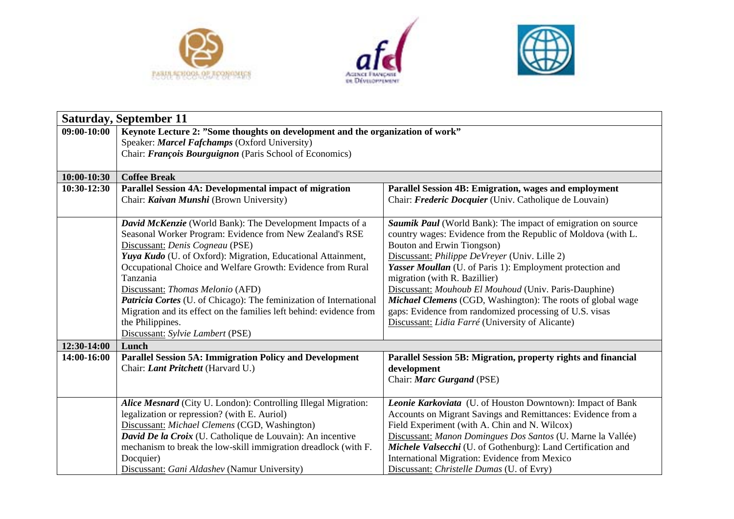





|               | <b>Saturday, September 11</b>                                                               |                                                                                             |  |  |  |
|---------------|---------------------------------------------------------------------------------------------|---------------------------------------------------------------------------------------------|--|--|--|
| 09:00-10:00   | Keynote Lecture 2: "Some thoughts on development and the organization of work"              |                                                                                             |  |  |  |
|               | Speaker: Marcel Fafchamps (Oxford University)                                               |                                                                                             |  |  |  |
|               | Chair: François Bourguignon (Paris School of Economics)                                     |                                                                                             |  |  |  |
| $10:00-10:30$ | <b>Coffee Break</b>                                                                         |                                                                                             |  |  |  |
| 10:30-12:30   | Parallel Session 4A: Developmental impact of migration                                      | Parallel Session 4B: Emigration, wages and employment                                       |  |  |  |
|               | Chair: Kaivan Munshi (Brown University)                                                     | Chair: Frederic Docquier (Univ. Catholique de Louvain)                                      |  |  |  |
|               |                                                                                             |                                                                                             |  |  |  |
|               | David McKenzie (World Bank): The Development Impacts of a                                   | Saumik Paul (World Bank): The impact of emigration on source                                |  |  |  |
|               | Seasonal Worker Program: Evidence from New Zealand's RSE<br>Discussant: Denis Cogneau (PSE) | country wages: Evidence from the Republic of Moldova (with L.<br>Bouton and Erwin Tiongson) |  |  |  |
|               | Yuya Kudo (U. of Oxford): Migration, Educational Attainment,                                | Discussant: Philippe DeVreyer (Univ. Lille 2)                                               |  |  |  |
|               | Occupational Choice and Welfare Growth: Evidence from Rural                                 | Yasser Moullan (U. of Paris 1): Employment protection and                                   |  |  |  |
|               | Tanzania                                                                                    | migration (with R. Bazillier)                                                               |  |  |  |
|               | Discussant: Thomas Melonio (AFD)                                                            | Discussant: Mouhoub El Mouhoud (Univ. Paris-Dauphine)                                       |  |  |  |
|               | Patricia Cortes (U. of Chicago): The feminization of International                          | Michael Clemens (CGD, Washington): The roots of global wage                                 |  |  |  |
|               | Migration and its effect on the families left behind: evidence from                         | gaps: Evidence from randomized processing of U.S. visas                                     |  |  |  |
|               | the Philippines.                                                                            | Discussant: Lidia Farré (University of Alicante)                                            |  |  |  |
|               | Discussant: Sylvie Lambert (PSE)                                                            |                                                                                             |  |  |  |
| 12:30-14:00   | Lunch                                                                                       |                                                                                             |  |  |  |
| 14:00-16:00   | <b>Parallel Session 5A: Immigration Policy and Development</b>                              | Parallel Session 5B: Migration, property rights and financial                               |  |  |  |
|               | Chair: Lant Pritchett (Harvard U.)                                                          | development                                                                                 |  |  |  |
|               |                                                                                             | Chair: Marc Gurgand (PSE)                                                                   |  |  |  |
|               | Alice Mesnard (City U. London): Controlling Illegal Migration:                              | Leonie Karkoviata (U. of Houston Downtown): Impact of Bank                                  |  |  |  |
|               | legalization or repression? (with E. Auriol)                                                | Accounts on Migrant Savings and Remittances: Evidence from a                                |  |  |  |
|               | Discussant: Michael Clemens (CGD, Washington)                                               | Field Experiment (with A. Chin and N. Wilcox)                                               |  |  |  |
|               | David De la Croix (U. Catholique de Louvain): An incentive                                  | Discussant: Manon Domingues Dos Santos (U. Marne la Vallée)                                 |  |  |  |
|               | mechanism to break the low-skill immigration dreadlock (with F.                             | Michele Valsecchi (U. of Gothenburg): Land Certification and                                |  |  |  |
|               | Docquier)                                                                                   | International Migration: Evidence from Mexico                                               |  |  |  |
|               | Discussant: Gani Aldashev (Namur University)                                                | Discussant: Christelle Dumas (U. of Evry)                                                   |  |  |  |